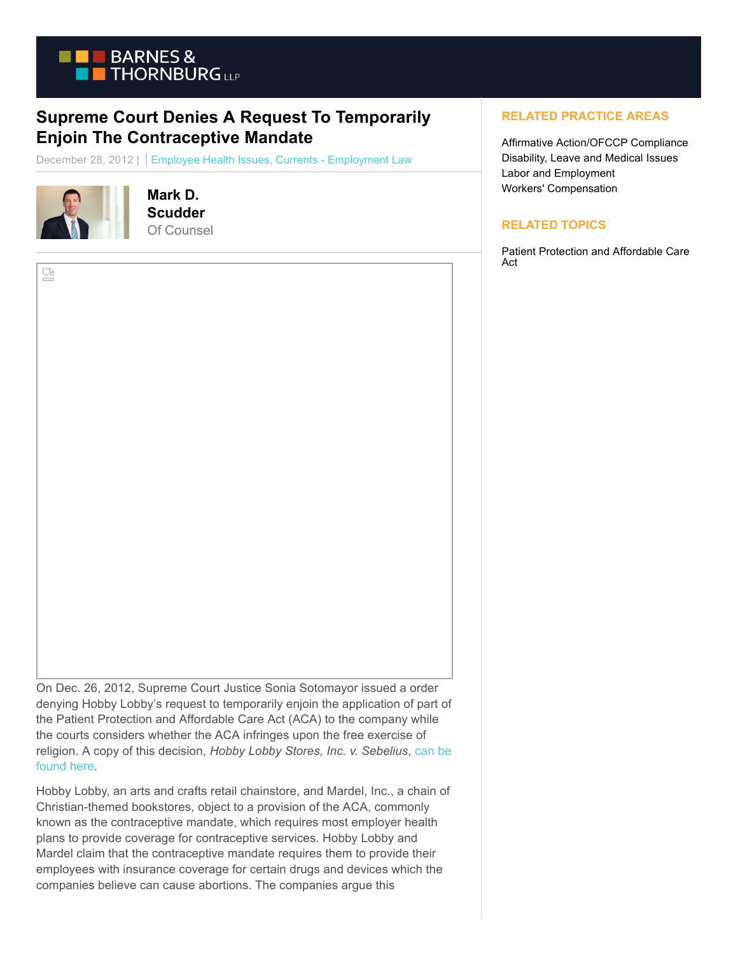

## **Supreme Court Denies A Request To Temporarily Enjoin The Contraceptive Mandate**

December 28, 2012 | Employee Health Issues, Currents - Employment Law



**Mark D. Scudder** Of Counsel

덣 On Dec. 26, 2012, Supreme Court Justice Sonia Sotomayor issued a order

denying Hobby Lobby's request to temporarily enjoin the application of part of the Patient Protection and Affordable Care Act (ACA) to the company while the courts considers whether the ACA infringes upon the free exercise of religion. A copy of this decision, *Hobby Lobby Stores, Inc. v. Sebelius*, [can be](http://www.supremecourt.gov/opinions/12pdf/12a644_k53l.pdf) found here.

Hobby Lobby, an arts and crafts retail chainstore, and Mardel, Inc., a chain of Christian-themed bookstores, object to a provision of the ACA, commonly known as the contraceptive mandate, which requires most employer health plans to provide coverage for contraceptive services. Hobby Lobby and Mardel claim that the contraceptive mandate requires them to provide their employees with insurance coverage for certain drugs and devices which the companies believe can cause abortions. The companies argue this

## **RELATED PRACTICE AREAS**

Affirmative Action/OFCCP Compliance Disability, Leave and Medical Issues Labor and Employment Workers' Compensation

## **RELATED TOPICS**

Patient Protection and Affordable Care Act